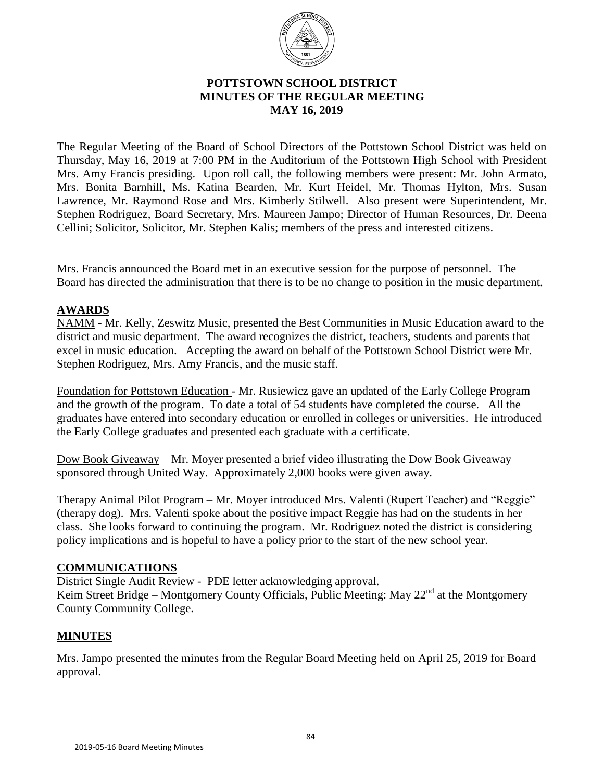

## **POTTSTOWN SCHOOL DISTRICT MINUTES OF THE REGULAR MEETING** **MAY 16, 2019**

The Regular Meeting of the Board of School Directors of the Pottstown School District was held on Thursday, May 16, 2019 at 7:00 PM in the Auditorium of the Pottstown High School with President Mrs. Amy Francis presiding. Upon roll call, the following members were present: Mr. John Armato, Mrs. Bonita Barnhill, Ms. Katina Bearden, Mr. Kurt Heidel, Mr. Thomas Hylton, Mrs. Susan Lawrence, Mr. Raymond Rose and Mrs. Kimberly Stilwell. Also present were Superintendent, Mr. Stephen Rodriguez, Board Secretary, Mrs. Maureen Jampo; Director of Human Resources, Dr. Deena Cellini; Solicitor, Solicitor, Mr. Stephen Kalis; members of the press and interested citizens.

Mrs. Francis announced the Board met in an executive session for the purpose of personnel. The Board has directed the administration that there is to be no change to position in the music department.

# **AWARDS**

NAMM - Mr. Kelly, Zeswitz Music, presented the Best Communities in Music Education award to the district and music department. The award recognizes the district, teachers, students and parents that excel in music education. Accepting the award on behalf of the Pottstown School District were Mr. Stephen Rodriguez, Mrs. Amy Francis, and the music staff.

Foundation for Pottstown Education - Mr. Rusiewicz gave an updated of the Early College Program and the growth of the program. To date a total of 54 students have completed the course. All the graduates have entered into secondary education or enrolled in colleges or universities. He introduced the Early College graduates and presented each graduate with a certificate.

Dow Book Giveaway – Mr. Moyer presented a brief video illustrating the Dow Book Giveaway sponsored through United Way. Approximately 2,000 books were given away.

Therapy Animal Pilot Program – Mr. Moyer introduced Mrs. Valenti (Rupert Teacher) and "Reggie" (therapy dog). Mrs. Valenti spoke about the positive impact Reggie has had on the students in her class. She looks forward to continuing the program. Mr. Rodriguez noted the district is considering policy implications and is hopeful to have a policy prior to the start of the new school year.

#### **COMMUNICATIIONS**

District Single Audit Review - PDE letter acknowledging approval.

Keim Street Bridge – Montgomery County Officials, Public Meeting: May  $22<sup>nd</sup>$  at the Montgomery County Community College.

#### **MINUTES**

Mrs. Jampo presented the minutes from the Regular Board Meeting held on April 25, 2019 for Board approval.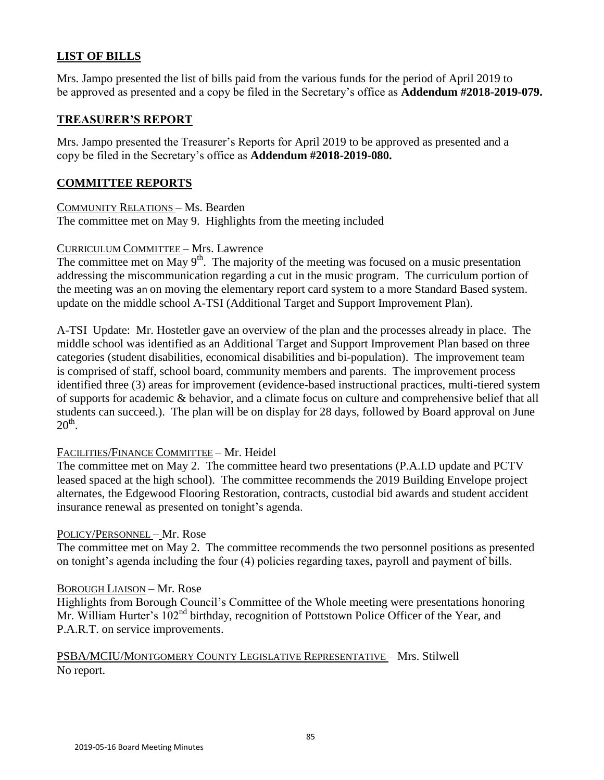# **LIST OF BILLS**

Mrs. Jampo presented the list of bills paid from the various funds for the period of April 2019 to be approved as presented and a copy be filed in the Secretary's office as **Addendum #2018-2019-079.**

## **TREASURER'S REPORT**

Mrs. Jampo presented the Treasurer's Reports for April 2019 to be approved as presented and a copy be filed in the Secretary's office as **Addendum #2018-2019-080.**

## **COMMITTEE REPORTS**

COMMUNITY RELATIONS – Ms. Bearden The committee met on May 9. Highlights from the meeting included

## CURRICULUM COMMITTEE – Mrs. Lawrence

The committee met on May  $9<sup>th</sup>$ . The majority of the meeting was focused on a music presentation addressing the miscommunication regarding a cut in the music program. The curriculum portion of the meeting was an on moving the elementary report card system to a more Standard Based system. update on the middle school A-TSI (Additional Target and Support Improvement Plan).

A-TSI Update: Mr. Hostetler gave an overview of the plan and the processes already in place. The middle school was identified as an Additional Target and Support Improvement Plan based on three categories (student disabilities, economical disabilities and bi-population). The improvement team is comprised of staff, school board, community members and parents. The improvement process identified three (3) areas for improvement (evidence-based instructional practices, multi-tiered system of supports for academic & behavior, and a climate focus on culture and comprehensive belief that all students can succeed.). The plan will be on display for 28 days, followed by Board approval on June  $20<sup>th</sup>$ .

# FACILITIES/FINANCE COMMITTEE – Mr. Heidel

The committee met on May 2. The committee heard two presentations (P.A.I.D update and PCTV leased spaced at the high school). The committee recommends the 2019 Building Envelope project alternates, the Edgewood Flooring Restoration, contracts, custodial bid awards and student accident insurance renewal as presented on tonight's agenda.

#### POLICY/PERSONNEL – Mr. Rose

The committee met on May 2. The committee recommends the two personnel positions as presented on tonight's agenda including the four (4) policies regarding taxes, payroll and payment of bills.

# BOROUGH LIAISON – Mr. Rose

Highlights from Borough Council's Committee of the Whole meeting were presentations honoring Mr. William Hurter's 102<sup>nd</sup> birthday, recognition of Pottstown Police Officer of the Year, and P.A.R.T. on service improvements.

PSBA/MCIU/MONTGOMERY COUNTY LEGISLATIVE REPRESENTATIVE – Mrs. Stilwell No report.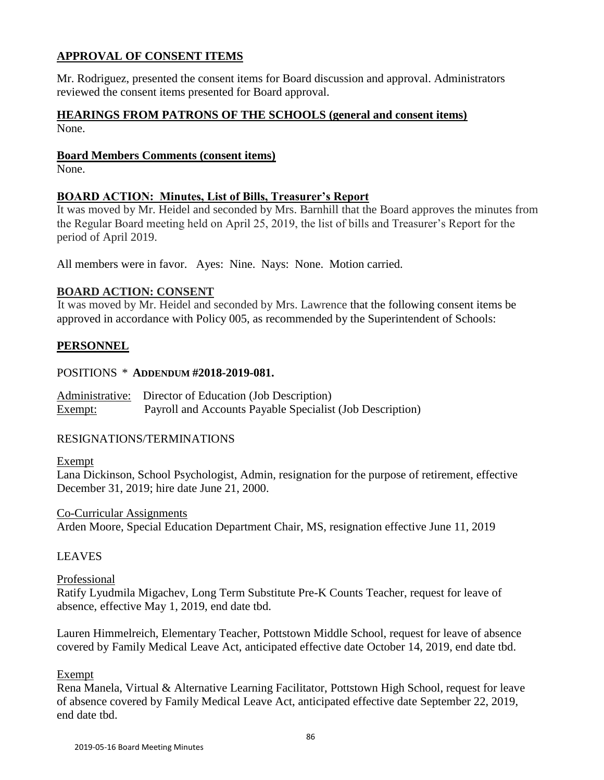# **APPROVAL OF CONSENT ITEMS**

Mr. Rodriguez, presented the consent items for Board discussion and approval. Administrators reviewed the consent items presented for Board approval.

### **HEARINGS FROM PATRONS OF THE SCHOOLS (general and consent items)** None.

#### **Board Members Comments (consent items)**

None.

# **BOARD ACTION: Minutes, List of Bills, Treasurer's Report**

It was moved by Mr. Heidel and seconded by Mrs. Barnhill that the Board approves the minutes from the Regular Board meeting held on April 25, 2019, the list of bills and Treasurer's Report for the period of April 2019.

All members were in favor. Ayes: Nine. Nays: None. Motion carried.

## **BOARD ACTION: CONSENT**

It was moved by Mr. Heidel and seconded by Mrs. Lawrence that the following consent items be approved in accordance with Policy 005, as recommended by the Superintendent of Schools:

# **PERSONNEL**

# POSITIONS \* **ADDENDUM #2018-2019-081.**

Administrative: Director of Education (Job Description) Exempt: Payroll and Accounts Payable Specialist (Job Description)

# RESIGNATIONS/TERMINATIONS

#### Exempt

Lana Dickinson, School Psychologist, Admin, resignation for the purpose of retirement, effective December 31, 2019; hire date June 21, 2000.

Co-Curricular Assignments Arden Moore, Special Education Department Chair, MS, resignation effective June 11, 2019

# LEAVES

# Professional

Ratify Lyudmila Migachev, Long Term Substitute Pre-K Counts Teacher, request for leave of absence, effective May 1, 2019, end date tbd.

Lauren Himmelreich, Elementary Teacher, Pottstown Middle School, request for leave of absence covered by Family Medical Leave Act, anticipated effective date October 14, 2019, end date tbd.

# Exempt

Rena Manela, Virtual & Alternative Learning Facilitator, Pottstown High School, request for leave of absence covered by Family Medical Leave Act, anticipated effective date September 22, 2019, end date tbd.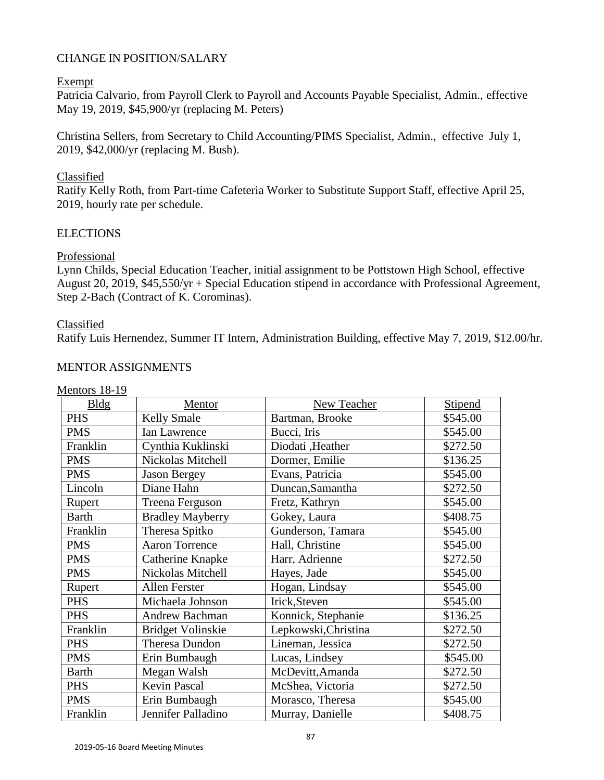## CHANGE IN POSITION/SALARY

#### Exempt

Patricia Calvario, from Payroll Clerk to Payroll and Accounts Payable Specialist, Admin., effective May 19, 2019, \$45,900/yr (replacing M. Peters)

Christina Sellers, from Secretary to Child Accounting/PIMS Specialist, Admin., effective July 1, 2019, \$42,000/yr (replacing M. Bush).

## Classified

Ratify Kelly Roth, from Part-time Cafeteria Worker to Substitute Support Staff, effective April 25, 2019, hourly rate per schedule.

## **ELECTIONS**

## Professional

Lynn Childs, Special Education Teacher, initial assignment to be Pottstown High School, effective August 20, 2019, \$45,550/yr + Special Education stipend in accordance with Professional Agreement, Step 2-Bach (Contract of K. Corominas).

#### Classified

Ratify Luis Hernendez, Summer IT Intern, Administration Building, effective May 7, 2019, \$12.00/hr.

#### MENTOR ASSIGNMENTS

| Bldg         | Mentor                   | New Teacher          | Stipend  |
|--------------|--------------------------|----------------------|----------|
| <b>PHS</b>   | <b>Kelly Smale</b>       | Bartman, Brooke      | \$545.00 |
| <b>PMS</b>   | Ian Lawrence             | Bucci, Iris          | \$545.00 |
| Franklin     | Cynthia Kuklinski        | Diodati ,Heather     | \$272.50 |
| <b>PMS</b>   | Nickolas Mitchell        | Dormer, Emilie       | \$136.25 |
| <b>PMS</b>   | <b>Jason Bergey</b>      | Evans, Patricia      | \$545.00 |
| Lincoln      | Diane Hahn               | Duncan, Samantha     | \$272.50 |
| Rupert       | Treena Ferguson          | Fretz, Kathryn       | \$545.00 |
| <b>Barth</b> | <b>Bradley Mayberry</b>  | Gokey, Laura         | \$408.75 |
| Franklin     | Theresa Spitko           | Gunderson, Tamara    | \$545.00 |
| <b>PMS</b>   | <b>Aaron Torrence</b>    | Hall, Christine      | \$545.00 |
| <b>PMS</b>   | Catherine Knapke         | Harr, Adrienne       | \$272.50 |
| <b>PMS</b>   | Nickolas Mitchell        | Hayes, Jade          | \$545.00 |
| Rupert       | Allen Ferster            | Hogan, Lindsay       | \$545.00 |
| <b>PHS</b>   | Michaela Johnson         | Irick, Steven        | \$545.00 |
| <b>PHS</b>   | Andrew Bachman           | Konnick, Stephanie   | \$136.25 |
| Franklin     | <b>Bridget Volinskie</b> | Lepkowski, Christina | \$272.50 |
| <b>PHS</b>   | <b>Theresa Dundon</b>    | Lineman, Jessica     | \$272.50 |
| <b>PMS</b>   | Erin Bumbaugh            | Lucas, Lindsey       | \$545.00 |
| <b>Barth</b> | Megan Walsh              | McDevitt, Amanda     | \$272.50 |
| <b>PHS</b>   | <b>Kevin Pascal</b>      | McShea, Victoria     | \$272.50 |
| <b>PMS</b>   | Erin Bumbaugh            | Morasco, Theresa     | \$545.00 |
| Franklin     | Jennifer Palladino       | Murray, Danielle     | \$408.75 |

# Mentors 18-19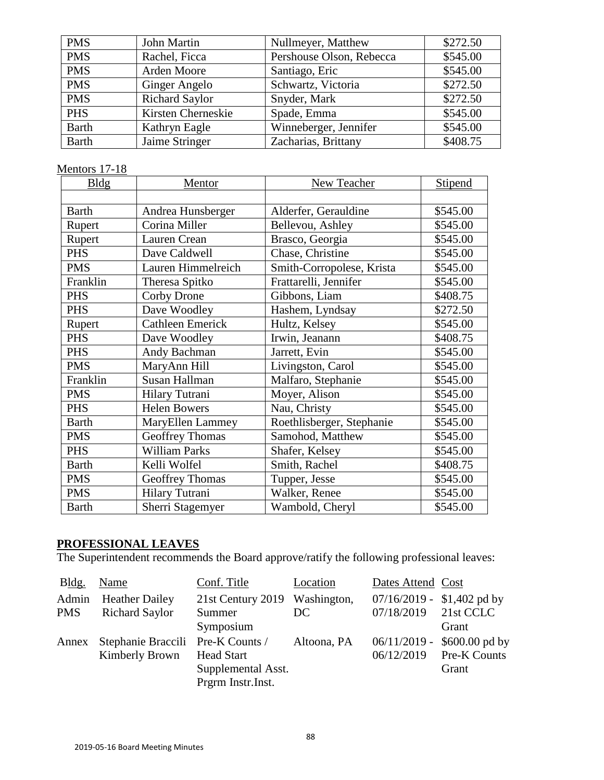| <b>PMS</b>   | John Martin           | Nullmeyer, Matthew       | \$272.50 |
|--------------|-----------------------|--------------------------|----------|
| <b>PMS</b>   | Rachel, Ficca         | Pershouse Olson, Rebecca | \$545.00 |
| <b>PMS</b>   | Arden Moore           | Santiago, Eric           | \$545.00 |
| <b>PMS</b>   | Ginger Angelo         | Schwartz, Victoria       | \$272.50 |
| <b>PMS</b>   | <b>Richard Saylor</b> | Snyder, Mark             | \$272.50 |
| <b>PHS</b>   | Kirsten Cherneskie    | Spade, Emma              | \$545.00 |
| <b>Barth</b> | Kathryn Eagle         | Winneberger, Jennifer    | \$545.00 |
| <b>Barth</b> | Jaime Stringer        | Zacharias, Brittany      | \$408.75 |

# Mentors 17-18

| <b>Bldg</b>  | Mentor                  | New Teacher               | Stipend  |
|--------------|-------------------------|---------------------------|----------|
|              |                         |                           |          |
| <b>Barth</b> | Andrea Hunsberger       | Alderfer, Gerauldine      | \$545.00 |
| Rupert       | Corina Miller           | Bellevou, Ashley          | \$545.00 |
| Rupert       | Lauren Crean            | Brasco, Georgia           | \$545.00 |
| <b>PHS</b>   | Dave Caldwell           | Chase, Christine          | \$545.00 |
| <b>PMS</b>   | Lauren Himmelreich      | Smith-Corropolese, Krista | \$545.00 |
| Franklin     | Theresa Spitko          | Frattarelli, Jennifer     | \$545.00 |
| <b>PHS</b>   | Corby Drone             | Gibbons, Liam             | \$408.75 |
| <b>PHS</b>   | Dave Woodley            | Hashem, Lyndsay           | \$272.50 |
| Rupert       | <b>Cathleen Emerick</b> | Hultz, Kelsey             | \$545.00 |
| <b>PHS</b>   | Dave Woodley            | Irwin, Jeanann            | \$408.75 |
| <b>PHS</b>   | Andy Bachman            | Jarrett, Evin             | \$545.00 |
| <b>PMS</b>   | MaryAnn Hill            | Livingston, Carol         | \$545.00 |
| Franklin     | Susan Hallman           | Malfaro, Stephanie        | \$545.00 |
| <b>PMS</b>   | Hilary Tutrani          | Moyer, Alison             | \$545.00 |
| <b>PHS</b>   | <b>Helen Bowers</b>     | Nau, Christy              | \$545.00 |
| <b>Barth</b> | MaryEllen Lammey        | Roethlisberger, Stephanie | \$545.00 |
| <b>PMS</b>   | <b>Geoffrey Thomas</b>  | Samohod, Matthew          | \$545.00 |
| <b>PHS</b>   | <b>William Parks</b>    | Shafer, Kelsey            | \$545.00 |
| <b>Barth</b> | Kelli Wolfel            | Smith, Rachel             | \$408.75 |
| <b>PMS</b>   | <b>Geoffrey Thomas</b>  | Tupper, Jesse             | \$545.00 |
| <b>PMS</b>   | Hilary Tutrani          | Walker, Renee             | \$545.00 |
| <b>Barth</b> | Sherri Stagemyer        | Wambold, Cheryl           | \$545.00 |

#### **PROFESSIONAL LEAVES**

The Superintendent recommends the Board approve/ratify the following professional leaves:

| Bldg.      | Name                              | Conf. Title                   | Location    | Dates Attend Cost           |                 |
|------------|-----------------------------------|-------------------------------|-------------|-----------------------------|-----------------|
| Admin      | <b>Heather Dailey</b>             | 21st Century 2019 Washington, |             | $07/16/2019 - $1,402$ pd by |                 |
| <b>PMS</b> | <b>Richard Saylor</b>             | Summer                        | DC.         | 07/18/2019                  | 21st CCLC       |
|            |                                   | Symposium                     |             |                             | Grant           |
| Annex      | Stephanie Braccili Pre-K Counts / |                               | Altoona, PA | $06/11/2019$ -              | $$600.00$ pd by |
|            | Kimberly Brown                    | <b>Head Start</b>             |             | 06/12/2019                  | Pre-K Counts    |
|            |                                   | Supplemental Asst.            |             |                             | Grant           |
|            |                                   | Prgrm Instr.Inst.             |             |                             |                 |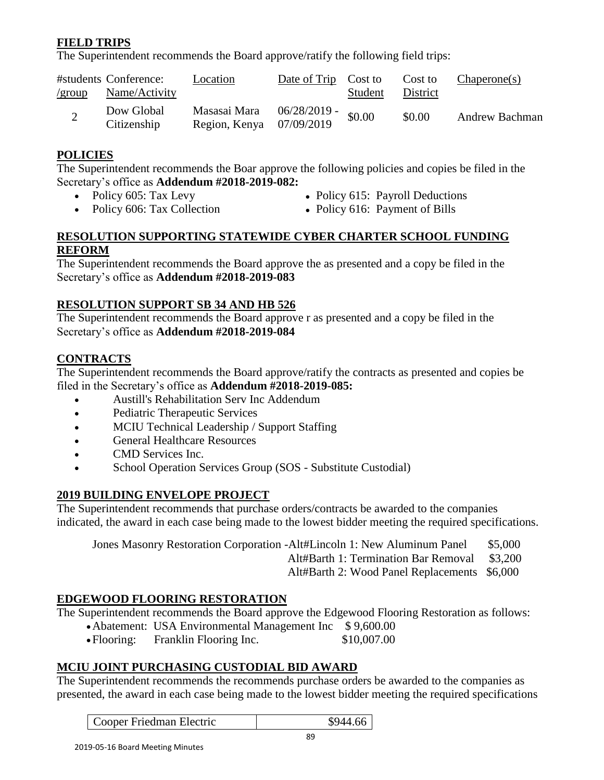# **FIELD TRIPS**

The Superintendent recommends the Board approve/ratify the following field trips:

| $\sqrt{group}$ | #students Conference:<br>Name/Activity | Location                                 | Date of Trip Cost to | Student | Cost to<br>District | Changeone(s)          |
|----------------|----------------------------------------|------------------------------------------|----------------------|---------|---------------------|-----------------------|
| $\overline{2}$ | Dow Global<br>Citizenship              | Masasai Mara<br>Region, Kenya 07/09/2019 | 06/28/2019 -         | \$0.00  | \$0.00              | <b>Andrew Bachman</b> |

## **POLICIES**

The Superintendent recommends the Boar approve the following policies and copies be filed in the Secretary's office as **Addendum #2018-2019-082:**

- 
- Policy 605: Tax Levy Policy 615: Payroll Deductions
- 
- 
- Policy 606: Tax Collection Policy 616: Payment of Bills

#### **RESOLUTION SUPPORTING STATEWIDE CYBER CHARTER SCHOOL FUNDING REFORM**

The Superintendent recommends the Board approve the as presented and a copy be filed in the Secretary's office as **Addendum #2018-2019-083**

## **RESOLUTION SUPPORT SB 34 AND HB 526**

The Superintendent recommends the Board approve r as presented and a copy be filed in the Secretary's office as **Addendum #2018-2019-084**

# **CONTRACTS**

The Superintendent recommends the Board approve/ratify the contracts as presented and copies be filed in the Secretary's office as **Addendum #2018-2019-085:**

- Austill's Rehabilitation Serv Inc Addendum
- Pediatric Therapeutic Services
- MCIU Technical Leadership / Support Staffing
- General Healthcare Resources
- CMD Services Inc.
- School Operation Services Group (SOS Substitute Custodial)

# **2019 BUILDING ENVELOPE PROJECT**

The Superintendent recommends that purchase orders/contracts be awarded to the companies indicated, the award in each case being made to the lowest bidder meeting the required specifications.

| Jones Masonry Restoration Corporation -Alt#Lincoln 1: New Aluminum Panel | \$5,000 |
|--------------------------------------------------------------------------|---------|
| Alt#Barth 1: Termination Bar Removal \$3,200                             |         |
| Alt#Barth 2: Wood Panel Replacements \$6,000                             |         |

# **EDGEWOOD FLOORING RESTORATION**

The Superintendent recommends the Board approve the Edgewood Flooring Restoration as follows:

- Abatement: USA Environmental Management Inc \$9,600.00
	- Flooring: Franklin Flooring Inc. \$10,007.00

# **MCIU JOINT PURCHASING CUSTODIAL BID AWARD**

The Superintendent recommends the recommends purchase orders be awarded to the companies as presented, the award in each case being made to the lowest bidder meeting the required specifications

| \$944.66<br>Cooper Friedman Electric |
|--------------------------------------|
|--------------------------------------|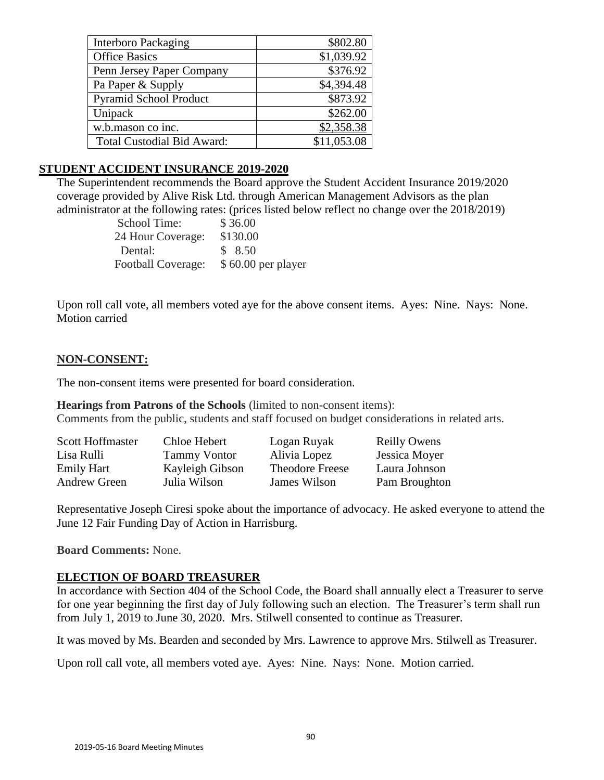| <b>Interboro Packaging</b>        | \$802.80    |
|-----------------------------------|-------------|
| <b>Office Basics</b>              | \$1,039.92  |
| Penn Jersey Paper Company         | \$376.92    |
| Pa Paper & Supply                 | \$4,394.48  |
| <b>Pyramid School Product</b>     | \$873.92    |
| Unipack                           | \$262.00    |
| w.b.mason co inc.                 | \$2,358.38  |
| <b>Total Custodial Bid Award:</b> | \$11,053.08 |

#### **STUDENT ACCIDENT INSURANCE 2019-2020**

The Superintendent recommends the Board approve the Student Accident Insurance 2019/2020 coverage provided by Alive Risk Ltd. through American Management Advisors as the plan administrator at the following rates: (prices listed below reflect no change over the 2018/2019)

| School Time:       | \$36.00            |
|--------------------|--------------------|
| 24 Hour Coverage:  | \$130.00           |
| Dental:            | \$ 8.50            |
| Football Coverage: | \$60.00 per player |

Upon roll call vote, all members voted aye for the above consent items. Ayes: Nine. Nays: None. Motion carried

#### **NON-CONSENT:**

The non-consent items were presented for board consideration.

**Hearings from Patrons of the Schools** (limited to non-consent items): Comments from the public, students and staff focused on budget considerations in related arts.

| <b>Scott Hoffmaster</b> | Chloe Hebert        | Logan Ruyak            | <b>Reilly Owens</b> |
|-------------------------|---------------------|------------------------|---------------------|
| Lisa Rulli              | <b>Tammy Vontor</b> | Alivia Lopez           | Jessica Moyer       |
| <b>Emily Hart</b>       | Kayleigh Gibson     | <b>Theodore Freese</b> | Laura Johnson       |
| Andrew Green            | Julia Wilson        | James Wilson           | Pam Broughton       |

Representative Joseph Ciresi spoke about the importance of advocacy. He asked everyone to attend the June 12 Fair Funding Day of Action in Harrisburg.

**Board Comments:** None.

#### **ELECTION OF BOARD TREASURER**

In accordance with Section 404 of the School Code, the Board shall annually elect a Treasurer to serve for one year beginning the first day of July following such an election. The Treasurer's term shall run from July 1, 2019 to June 30, 2020. Mrs. Stilwell consented to continue as Treasurer.

It was moved by Ms. Bearden and seconded by Mrs. Lawrence to approve Mrs. Stilwell as Treasurer.

Upon roll call vote, all members voted aye. Ayes: Nine. Nays: None. Motion carried.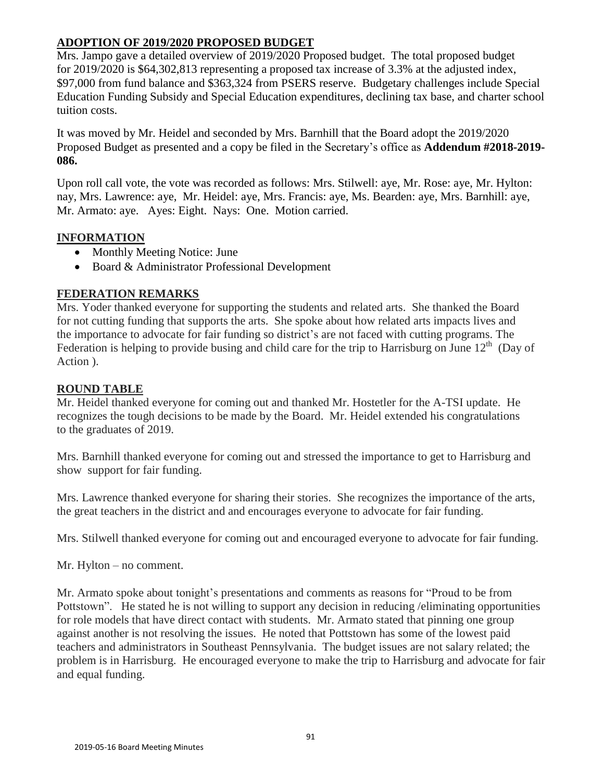# **ADOPTION OF 2019/2020 PROPOSED BUDGET**

Mrs. Jampo gave a detailed overview of 2019/2020 Proposed budget. The total proposed budget for 2019/2020 is \$64,302,813 representing a proposed tax increase of 3.3% at the adjusted index, \$97,000 from fund balance and \$363,324 from PSERS reserve. Budgetary challenges include Special Education Funding Subsidy and Special Education expenditures, declining tax base, and charter school tuition costs.

It was moved by Mr. Heidel and seconded by Mrs. Barnhill that the Board adopt the 2019/2020 Proposed Budget as presented and a copy be filed in the Secretary's office as **Addendum #2018-2019- 086.**

Upon roll call vote, the vote was recorded as follows: Mrs. Stilwell: aye, Mr. Rose: aye, Mr. Hylton: nay, Mrs. Lawrence: aye, Mr. Heidel: aye, Mrs. Francis: aye, Ms. Bearden: aye, Mrs. Barnhill: aye, Mr. Armato: aye. Ayes: Eight. Nays: One. Motion carried.

# **INFORMATION**

- Monthly Meeting Notice: June
- Board & Administrator Professional Development

# **FEDERATION REMARKS**

Mrs. Yoder thanked everyone for supporting the students and related arts. She thanked the Board for not cutting funding that supports the arts. She spoke about how related arts impacts lives and the importance to advocate for fair funding so district's are not faced with cutting programs. The Federation is helping to provide busing and child care for the trip to Harrisburg on June  $12<sup>th</sup>$  (Day of Action ).

# **ROUND TABLE**

Mr. Heidel thanked everyone for coming out and thanked Mr. Hostetler for the A-TSI update. He recognizes the tough decisions to be made by the Board. Mr. Heidel extended his congratulations to the graduates of 2019.

Mrs. Barnhill thanked everyone for coming out and stressed the importance to get to Harrisburg and show support for fair funding.

Mrs. Lawrence thanked everyone for sharing their stories. She recognizes the importance of the arts, the great teachers in the district and and encourages everyone to advocate for fair funding.

Mrs. Stilwell thanked everyone for coming out and encouraged everyone to advocate for fair funding.

Mr. Hylton – no comment.

Mr. Armato spoke about tonight's presentations and comments as reasons for "Proud to be from Pottstown". He stated he is not willing to support any decision in reducing /eliminating opportunities for role models that have direct contact with students. Mr. Armato stated that pinning one group against another is not resolving the issues. He noted that Pottstown has some of the lowest paid teachers and administrators in Southeast Pennsylvania. The budget issues are not salary related; the problem is in Harrisburg. He encouraged everyone to make the trip to Harrisburg and advocate for fair and equal funding.